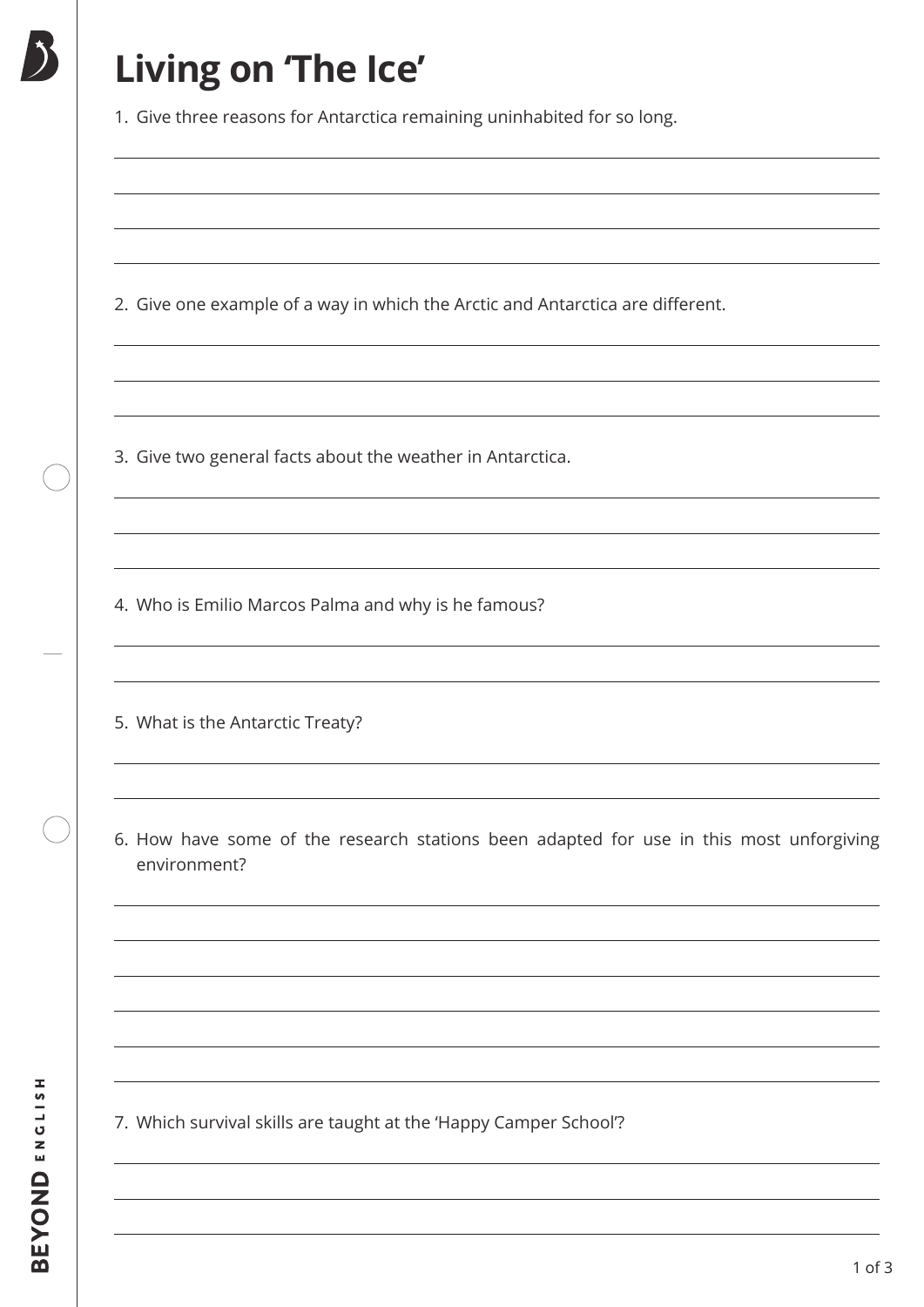# **Living on 'The Ice'**

1. Give three reasons for Antarctica remaining uninhabited for so long.

2. Give one example of a way in which the Arctic and Antarctica are different.

3. Give two general facts about the weather in Antarctica.

4. Who is Emilio Marcos Palma and why is he famous?

5. What is the Antarctic Treaty?

6. How have some of the research stations been adapted for use in this most unforgiving environment?

7. Which survival skills are taught at the 'Happy Camper School'?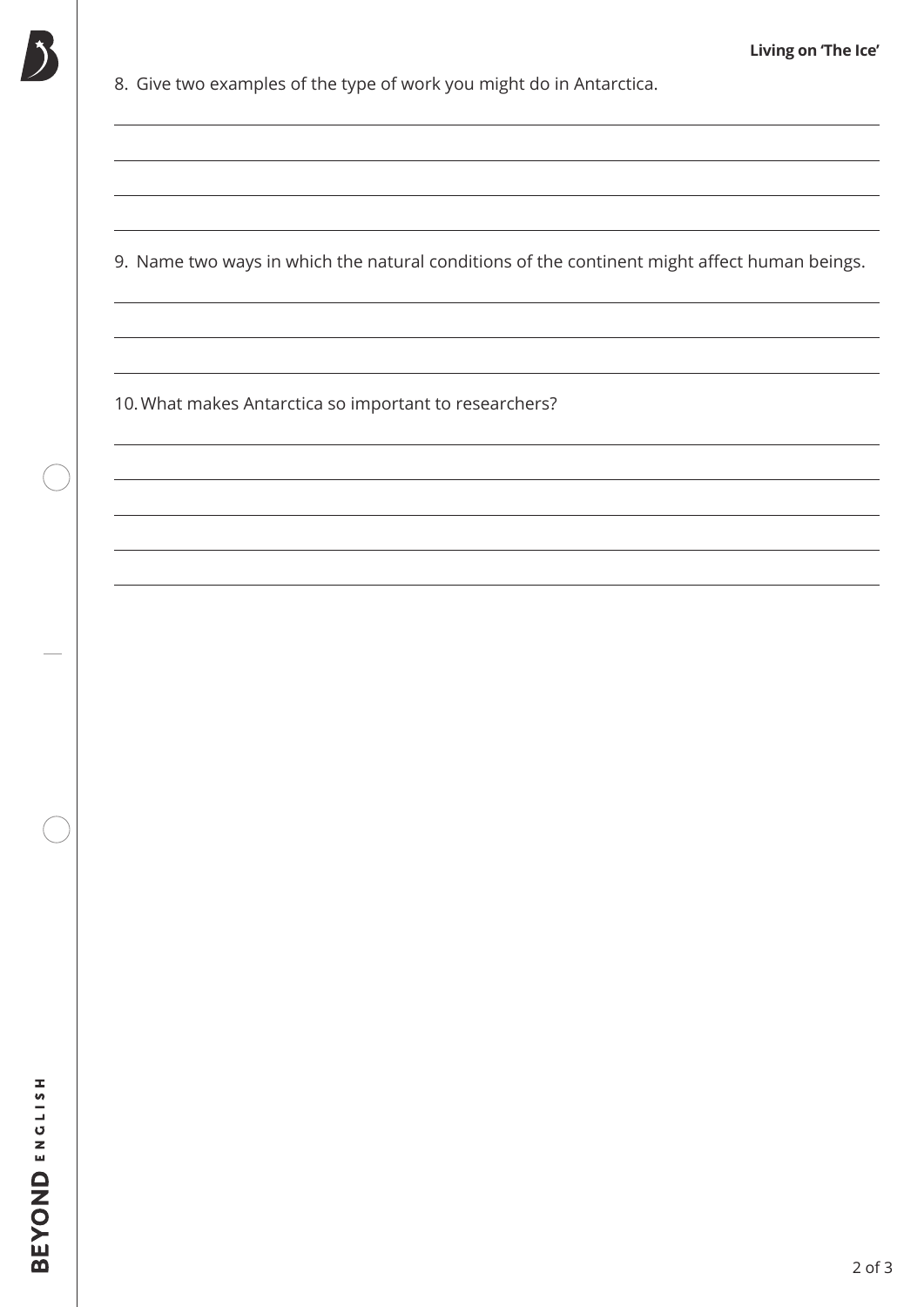

8. Give two examples of the type of work you might do in Antarctica.

9. Name two ways in which the natural conditions of the continent might affect human beings.

10.What makes Antarctica so important to researchers?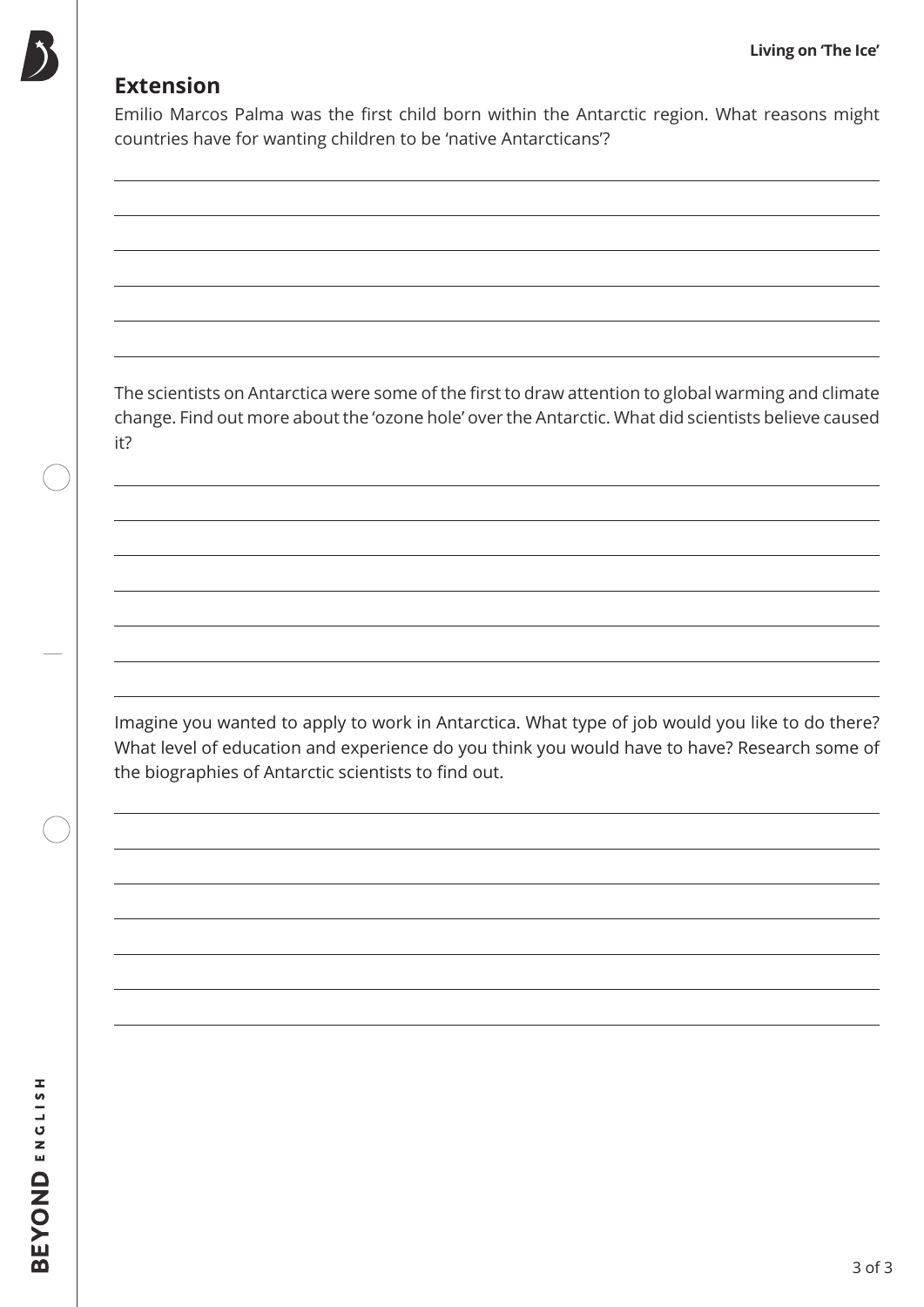### **Extension**

Emilio Marcos Palma was the first child born within the Antarctic region. What reasons might countries have for wanting children to be 'native Antarcticans'?

The scientists on Antarctica were some of the first to draw attention to global warming and climate change. Find out more about the 'ozone hole' over the Antarctic. What did scientists believe caused it?

Imagine you wanted to apply to work in Antarctica. What type of job would you like to do there? What level of education and experience do you think you would have to have? Research some of the biographies of Antarctic scientists to find out.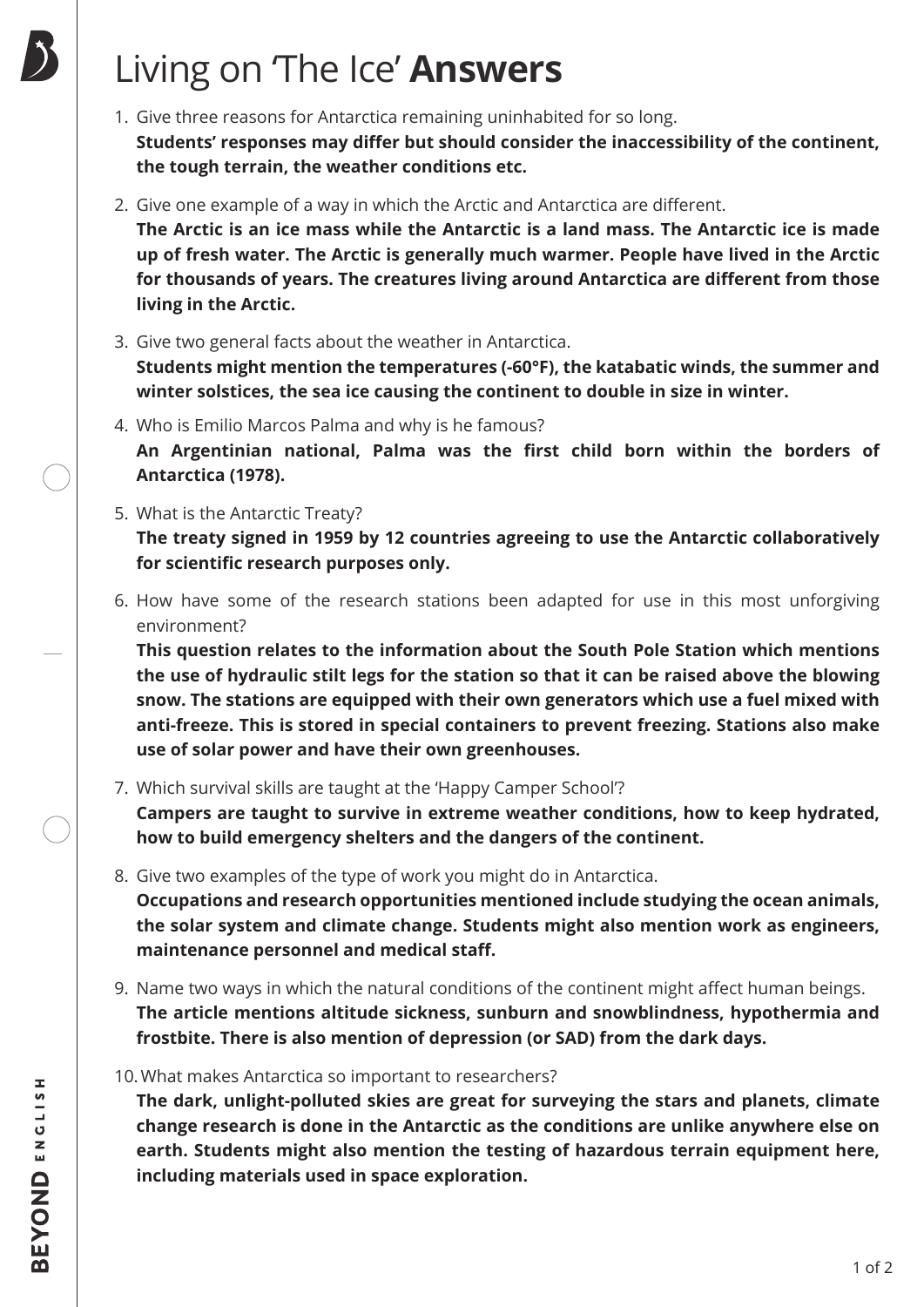## Living on 'The Ice' **Answers**

- 1. Give three reasons for Antarctica remaining uninhabited for so long. **Students' responses may differ but should consider the inaccessibility of the continent, the tough terrain, the weather conditions etc.**
- 2. Give one example of a way in which the Arctic and Antarctica are different.

**The Arctic is an ice mass while the Antarctic is a land mass. The Antarctic ice is made up of fresh water. The Arctic is generally much warmer. People have lived in the Arctic for thousands of years. The creatures living around Antarctica are different from those living in the Arctic.**

3. Give two general facts about the weather in Antarctica.

**Students might mention the temperatures (-60°F), the katabatic winds, the summer and winter solstices, the sea ice causing the continent to double in size in winter.**

- 4. Who is Emilio Marcos Palma and why is he famous? **An Argentinian national, Palma was the first child born within the borders of Antarctica (1978).**
- 5. What is the Antarctic Treaty?

**The treaty signed in 1959 by 12 countries agreeing to use the Antarctic collaboratively for scientific research purposes only.**

6. How have some of the research stations been adapted for use in this most unforgiving environment?

**This question relates to the information about the South Pole Station which mentions the use of hydraulic stilt legs for the station so that it can be raised above the blowing snow. The stations are equipped with their own generators which use a fuel mixed with anti-freeze. This is stored in special containers to prevent freezing. Stations also make use of solar power and have their own greenhouses.**

7. Which survival skills are taught at the 'Happy Camper School'?

**Campers are taught to survive in extreme weather conditions, how to keep hydrated, how to build emergency shelters and the dangers of the continent.**

- 8. Give two examples of the type of work you might do in Antarctica. **Occupations and research opportunities mentioned include studying the ocean animals, the solar system and climate change. Students might also mention work as engineers, maintenance personnel and medical staff.**
- 9. Name two ways in which the natural conditions of the continent might affect human beings. **The article mentions altitude sickness, sunburn and snowblindness, hypothermia and frostbite. There is also mention of depression (or SAD) from the dark days.**
- 10.What makes Antarctica so important to researchers?

**The dark, unlight-polluted skies are great for surveying the stars and planets, climate change research is done in the Antarctic as the conditions are unlike anywhere else on earth. Students might also mention the testing of hazardous terrain equipment here, including materials used in space exploration.**